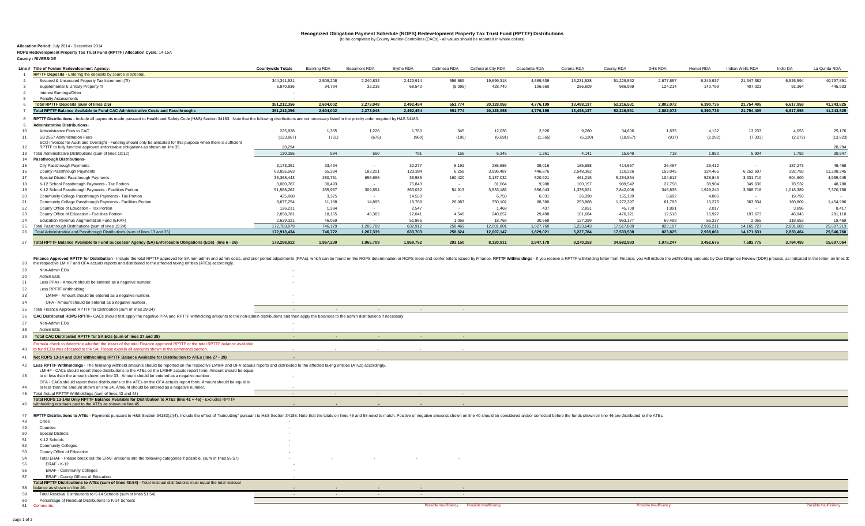# Recognized Obligation Payment Schedule (ROPS) Redevelopment Property Tax Trust Fund (RPTTF) Distributions<br>(to be completed by County Auditor-Controllers (CACs) - all values should be reported in whole dollars)

**Allocation Period:** July 2014 - December 2014**ROPS Redevelopment Property Tax Trust Fund (RPTTF) Allocation Cycle:** 14-15A

**County : RIVERSIDE**

| RPTTF Deposits - Entering the deposits by source is optional.                                                                                                                                                                                                                                                                                                                                                                                                                                                                                                                                                                                                                                                                                                                                                                                                                                                                                                                                                                                                                                                                                                                                                                                                                                                                                                                                                                                                                                                                                                                                                                                              | <b>Countywide Totals</b> | Banning RDA | Beaumont RDA | <b>Blythe RDA</b> | Calimesa RDA | Cathedral City RDA Coachella RDA |           | Corona RDA | County RDA | DHS RDA   | Hemet RDA | Indian Wells RDA | Indio DA  | La Quinta RDA |
|------------------------------------------------------------------------------------------------------------------------------------------------------------------------------------------------------------------------------------------------------------------------------------------------------------------------------------------------------------------------------------------------------------------------------------------------------------------------------------------------------------------------------------------------------------------------------------------------------------------------------------------------------------------------------------------------------------------------------------------------------------------------------------------------------------------------------------------------------------------------------------------------------------------------------------------------------------------------------------------------------------------------------------------------------------------------------------------------------------------------------------------------------------------------------------------------------------------------------------------------------------------------------------------------------------------------------------------------------------------------------------------------------------------------------------------------------------------------------------------------------------------------------------------------------------------------------------------------------------------------------------------------------------|--------------------------|-------------|--------------|-------------------|--------------|----------------------------------|-----------|------------|------------|-----------|-----------|------------------|-----------|---------------|
| Secured & Unsecured Property Tax Increment (TI)                                                                                                                                                                                                                                                                                                                                                                                                                                                                                                                                                                                                                                                                                                                                                                                                                                                                                                                                                                                                                                                                                                                                                                                                                                                                                                                                                                                                                                                                                                                                                                                                            | 344.341.521              | 2.509.208   | 2.240.832    | 2,423,914         | 556,869      | 19,699,318                       | 4.669.539 | 13,231,528 | 51,229,532 | 2.677.857 | 6.249.937 | 21,347,382       | 6.526.594 | 40.797.891    |
| Supplemental & Unitary Property TI                                                                                                                                                                                                                                                                                                                                                                                                                                                                                                                                                                                                                                                                                                                                                                                                                                                                                                                                                                                                                                                                                                                                                                                                                                                                                                                                                                                                                                                                                                                                                                                                                         | 6,870,836                | 94,794      | 32,216       | 68,540            | (5,095)      | 428,740                          | 106,660   | 266,609    | 986,999    | 124,214   | 140,799   | 407,023          | 91,364    | 445,933       |
| Interest Earnings/Other                                                                                                                                                                                                                                                                                                                                                                                                                                                                                                                                                                                                                                                                                                                                                                                                                                                                                                                                                                                                                                                                                                                                                                                                                                                                                                                                                                                                                                                                                                                                                                                                                                    |                          |             |              |                   |              |                                  |           |            |            |           |           |                  |           |               |
| <b>Penalty Assessments</b>                                                                                                                                                                                                                                                                                                                                                                                                                                                                                                                                                                                                                                                                                                                                                                                                                                                                                                                                                                                                                                                                                                                                                                                                                                                                                                                                                                                                                                                                                                                                                                                                                                 |                          |             |              |                   |              |                                  |           |            |            |           |           |                  |           |               |
| <b>Total RPTTF Deposits (sum of lines 2:5)</b>                                                                                                                                                                                                                                                                                                                                                                                                                                                                                                                                                                                                                                                                                                                                                                                                                                                                                                                                                                                                                                                                                                                                                                                                                                                                                                                                                                                                                                                                                                                                                                                                             | 351.212.356              | 2.604.002   | 2.273.048    | 2.492.454         | 551.774      | 20.128.058                       | 4.776.199 | 13.498.137 | 52.216.531 | 2.802.072 | 6.390.736 | 21.754.405       | 6.617.958 | 41.243.825    |
| Total RPTTF Balance Available to Fund CAC Administrative Costs and Passthroughs                                                                                                                                                                                                                                                                                                                                                                                                                                                                                                                                                                                                                                                                                                                                                                                                                                                                                                                                                                                                                                                                                                                                                                                                                                                                                                                                                                                                                                                                                                                                                                            | 351,212,356              | 2,604,002   | 2,273,048    | 2,492,454         | 551,774      | 20,128,058                       | 4,776,199 | 13,498,137 | 52,216,531 | 2,802,072 | 6,390,736 | 21,754,405       | 6,617,958 | 41,243,825    |
| RPTTF Distributions - Include all payments made pursuant to Health and Safety Code (H&S) Section 34183. Note that the following distributions are not necessary listed in the priority order required by H&S 34183.                                                                                                                                                                                                                                                                                                                                                                                                                                                                                                                                                                                                                                                                                                                                                                                                                                                                                                                                                                                                                                                                                                                                                                                                                                                                                                                                                                                                                                        |                          |             |              |                   |              |                                  |           |            |            |           |           |                  |           |               |
| <b>Administrative Distributions-</b>                                                                                                                                                                                                                                                                                                                                                                                                                                                                                                                                                                                                                                                                                                                                                                                                                                                                                                                                                                                                                                                                                                                                                                                                                                                                                                                                                                                                                                                                                                                                                                                                                       |                          |             |              |                   |              |                                  |           |            |            |           |           |                  |           |               |
| Administrative Fees to CAC                                                                                                                                                                                                                                                                                                                                                                                                                                                                                                                                                                                                                                                                                                                                                                                                                                                                                                                                                                                                                                                                                                                                                                                                                                                                                                                                                                                                                                                                                                                                                                                                                                 | 225,928                  | 1,355       | 1,226        | 1,760             | 345          | 12,036                           | 2,826     | 9,260      | 34,606     | 1,635     | 4,132     | 13,237           | 4,053     | 25,176        |
| SB 2557 Administration Fees                                                                                                                                                                                                                                                                                                                                                                                                                                                                                                                                                                                                                                                                                                                                                                                                                                                                                                                                                                                                                                                                                                                                                                                                                                                                                                                                                                                                                                                                                                                                                                                                                                | (123, 867)               | (761)       | (676)        | (969)             | (190)        | (6,691)                          | (1, 565)  | (5, 120)   | (18, 957)  | (917)     | (2, 282)  | (7, 333)         | (2, 272)  | (13,923)      |
| SCO Invoices for Audit and Oversight - Funding should only be allocated for this purpose when there is sufficient<br>RPTTF to fully fund the approved enforceable obligations as shown on line 35.                                                                                                                                                                                                                                                                                                                                                                                                                                                                                                                                                                                                                                                                                                                                                                                                                                                                                                                                                                                                                                                                                                                                                                                                                                                                                                                                                                                                                                                         | 28,294                   |             |              |                   |              |                                  |           |            |            |           |           |                  |           | 28.294        |
| 13 Total Administrative Distributions (sum of lines 10:12)                                                                                                                                                                                                                                                                                                                                                                                                                                                                                                                                                                                                                                                                                                                                                                                                                                                                                                                                                                                                                                                                                                                                                                                                                                                                                                                                                                                                                                                                                                                                                                                                 | 130.355                  | 594         | 550          | 791               | 155          | 5.345                            | 1,261     | 4.141      | 15,649     | 718       | 1.850     | 5.904            | 1.782     | 39,547        |
| <b>Passthrough Distributions-</b>                                                                                                                                                                                                                                                                                                                                                                                                                                                                                                                                                                                                                                                                                                                                                                                                                                                                                                                                                                                                                                                                                                                                                                                                                                                                                                                                                                                                                                                                                                                                                                                                                          |                          |             |              |                   |              |                                  |           |            |            |           |           |                  |           |               |
| City Passthrough Payments                                                                                                                                                                                                                                                                                                                                                                                                                                                                                                                                                                                                                                                                                                                                                                                                                                                                                                                                                                                                                                                                                                                                                                                                                                                                                                                                                                                                                                                                                                                                                                                                                                  | 3,173,391                | 33,434      |              | 32,277            | 5,192        | 285,685                          | 39,016    | 165,688    | 414,667    | 36,467    | 26,412    | $\sim$ 100 $\mu$ | 187,273   | 49,468        |
| County Passthrough Payments                                                                                                                                                                                                                                                                                                                                                                                                                                                                                                                                                                                                                                                                                                                                                                                                                                                                                                                                                                                                                                                                                                                                                                                                                                                                                                                                                                                                                                                                                                                                                                                                                                | 63,855,563               | 65,334      | 183,201      | 123,384           | 6,258        | 3,996,487                        | 446,876   | 2,548,362  | 110,226    | 153,045   | 324 465   | 6,252,607        | 392,793   | 11,298,245    |
| Special District Passthrough Payments                                                                                                                                                                                                                                                                                                                                                                                                                                                                                                                                                                                                                                                                                                                                                                                                                                                                                                                                                                                                                                                                                                                                                                                                                                                                                                                                                                                                                                                                                                                                                                                                                      | 36,368,443               | 280,761     | 658,656      | 38,586            | 160,420      | 3,137,032                        | 520,921   | 461,215    | 5,254,854  | 104,612   | 528,846   | 3,331,710        | 804,600   | 4,965,945     |
| K-12 School Passthrough Payments - Tax Portion                                                                                                                                                                                                                                                                                                                                                                                                                                                                                                                                                                                                                                                                                                                                                                                                                                                                                                                                                                                                                                                                                                                                                                                                                                                                                                                                                                                                                                                                                                                                                                                                             | 3,080,787                | 30,493      |              | 75,843            |              | 31,664                           | 9,988     | 160,157    | 989,542    | 27,758    | 38,904    | 349,630          | 78,532    | 48,788        |
| K-12 School Passthrough Payments - Facilities Portion                                                                                                                                                                                                                                                                                                                                                                                                                                                                                                                                                                                                                                                                                                                                                                                                                                                                                                                                                                                                                                                                                                                                                                                                                                                                                                                                                                                                                                                                                                                                                                                                      | 51,588,262               | 255,967     | 309,654      | 263,032           | 54,913       | 3.533.186                        | 656,043   | 1.375.921  | 7,842,008  | 346,836   | 1,929,240 | 3,668,718        | 1,018,389 | 7,370,768     |
| Community College Passthrough Payments - Tax Portion                                                                                                                                                                                                                                                                                                                                                                                                                                                                                                                                                                                                                                                                                                                                                                                                                                                                                                                                                                                                                                                                                                                                                                                                                                                                                                                                                                                                                                                                                                                                                                                                       | 425,068                  | 3,375       |              | 14,550            |              | 6,750                            | 6,031     | 26,398     | 155,189    | 8,692     | 4,886     |                  | 19,793    |               |
| Community College Passthrough Payments - Facilities Portion                                                                                                                                                                                                                                                                                                                                                                                                                                                                                                                                                                                                                                                                                                                                                                                                                                                                                                                                                                                                                                                                                                                                                                                                                                                                                                                                                                                                                                                                                                                                                                                                | 8,677,254                | 11,188      | 14,895       | 18,788            | 26,087       | 750,102                          | 88,380    | 253,968    | 1,272,397  | 61,793    | 10,276    | 363,334          | 160,809   | 1,454,996     |
| County Office of Education - Tax Portion                                                                                                                                                                                                                                                                                                                                                                                                                                                                                                                                                                                                                                                                                                                                                                                                                                                                                                                                                                                                                                                                                                                                                                                                                                                                                                                                                                                                                                                                                                                                                                                                                   | 126,211                  | 1.394       |              | 2.547             |              | 1.469                            | 437       | 2,851      | 45,708     | 1.891     | 2.017     |                  | 3,896     | 8.417         |
| County Office of Education - Facilities Portion                                                                                                                                                                                                                                                                                                                                                                                                                                                                                                                                                                                                                                                                                                                                                                                                                                                                                                                                                                                                                                                                                                                                                                                                                                                                                                                                                                                                                                                                                                                                                                                                            | 2,858,781                | 18,165      | 40,382       | 12,041            | 4,540        | 240,657                          | 29,498    | 101,684    | 470,121    | 12,513    | 15,927    | 197,673          | 46,945    | 291,118       |
| Education Revenue Augmentation Fund (ERAF)                                                                                                                                                                                                                                                                                                                                                                                                                                                                                                                                                                                                                                                                                                                                                                                                                                                                                                                                                                                                                                                                                                                                                                                                                                                                                                                                                                                                                                                                                                                                                                                                                 | 2.629.321                | 46.069      |              | 51.865            | 1.058        | 18,769                           | 30.569    | 127.399    | 963.177    | 69.499    | 55.237    | 2.055            | 118,653   | 19.469        |
| Total Passthrough Distributions (sum of lines 15:24)                                                                                                                                                                                                                                                                                                                                                                                                                                                                                                                                                                                                                                                                                                                                                                                                                                                                                                                                                                                                                                                                                                                                                                                                                                                                                                                                                                                                                                                                                                                                                                                                       | 172,783,079              | 746,179     | 1,206,789    | 632,912           | 258,469      | 12,001,801                       | 1,827,760 | 5,223,643  | 17,517,889 | 823,107   | 2,936,211 | 14,165,727       | 2,831,683 | 25,507,213    |
| Total Administrative and Passthrough Distributions (sum of lines 13 and 25)                                                                                                                                                                                                                                                                                                                                                                                                                                                                                                                                                                                                                                                                                                                                                                                                                                                                                                                                                                                                                                                                                                                                                                                                                                                                                                                                                                                                                                                                                                                                                                                | 172,913,434              | 746,772     | 1,207,339    | 633,703           | 258,624      | 12,007,147                       | 1,829,021 | 5,227,784  | 17.533.538 | 823,825   | 2,938,061 | 14,171,631       | 2,833,464 | 25,546,760    |
| 27 Total RPTTF Balance Available to Fund Successor Agency (SA) Enforceable Obligations (EOs) (line 6 - 26)                                                                                                                                                                                                                                                                                                                                                                                                                                                                                                                                                                                                                                                                                                                                                                                                                                                                                                                                                                                                                                                                                                                                                                                                                                                                                                                                                                                                                                                                                                                                                 | 178,298,922              | 1,857,230   | 1,065,709    | 1,858,752         | 293,150      | 8,120,911                        | 2,947,178 | 8,270,353  | 34,682,993 | 1,978,247 | 3,452,675 | 7,582,775        | 3,784,493 | 15,697,064    |
| Admin EOs<br>Less PPAs - Amount should be entered as a negative number.                                                                                                                                                                                                                                                                                                                                                                                                                                                                                                                                                                                                                                                                                                                                                                                                                                                                                                                                                                                                                                                                                                                                                                                                                                                                                                                                                                                                                                                                                                                                                                                    |                          |             |              |                   |              |                                  |           |            |            |           |           |                  |           |               |
| Less RPTTF Withholding:                                                                                                                                                                                                                                                                                                                                                                                                                                                                                                                                                                                                                                                                                                                                                                                                                                                                                                                                                                                                                                                                                                                                                                                                                                                                                                                                                                                                                                                                                                                                                                                                                                    |                          |             |              |                   |              |                                  |           |            |            |           |           |                  |           |               |
| LMIHF - Amount should be entered as a negative number                                                                                                                                                                                                                                                                                                                                                                                                                                                                                                                                                                                                                                                                                                                                                                                                                                                                                                                                                                                                                                                                                                                                                                                                                                                                                                                                                                                                                                                                                                                                                                                                      |                          |             |              |                   |              |                                  |           |            |            |           |           |                  |           |               |
| OFA - Amount should be entered as a negative number                                                                                                                                                                                                                                                                                                                                                                                                                                                                                                                                                                                                                                                                                                                                                                                                                                                                                                                                                                                                                                                                                                                                                                                                                                                                                                                                                                                                                                                                                                                                                                                                        |                          |             |              |                   |              |                                  |           |            |            |           |           |                  |           |               |
| Total Finance Approved RPTTF for Distribution (sum of lines 29:34)                                                                                                                                                                                                                                                                                                                                                                                                                                                                                                                                                                                                                                                                                                                                                                                                                                                                                                                                                                                                                                                                                                                                                                                                                                                                                                                                                                                                                                                                                                                                                                                         |                          |             |              |                   |              |                                  |           |            |            |           |           |                  |           |               |
| CAC Distributed ROPS RPTTF- CACs should first apply the negative PPA and RPTTF withholding amounts to the non-admin distributions and then apply the balances to the admin distributions if necessary.                                                                                                                                                                                                                                                                                                                                                                                                                                                                                                                                                                                                                                                                                                                                                                                                                                                                                                                                                                                                                                                                                                                                                                                                                                                                                                                                                                                                                                                     |                          |             |              |                   |              |                                  |           |            |            |           |           |                  |           |               |
| Non-Admin EOs                                                                                                                                                                                                                                                                                                                                                                                                                                                                                                                                                                                                                                                                                                                                                                                                                                                                                                                                                                                                                                                                                                                                                                                                                                                                                                                                                                                                                                                                                                                                                                                                                                              |                          |             |              |                   |              |                                  |           |            |            |           |           |                  |           |               |
| Admin FOs                                                                                                                                                                                                                                                                                                                                                                                                                                                                                                                                                                                                                                                                                                                                                                                                                                                                                                                                                                                                                                                                                                                                                                                                                                                                                                                                                                                                                                                                                                                                                                                                                                                  |                          |             |              |                   |              |                                  |           |            |            |           |           |                  |           |               |
|                                                                                                                                                                                                                                                                                                                                                                                                                                                                                                                                                                                                                                                                                                                                                                                                                                                                                                                                                                                                                                                                                                                                                                                                                                                                                                                                                                                                                                                                                                                                                                                                                                                            |                          |             |              |                   |              |                                  |           |            |            |           |           |                  |           |               |
|                                                                                                                                                                                                                                                                                                                                                                                                                                                                                                                                                                                                                                                                                                                                                                                                                                                                                                                                                                                                                                                                                                                                                                                                                                                                                                                                                                                                                                                                                                                                                                                                                                                            |                          |             |              |                   |              |                                  |           |            |            |           |           |                  |           |               |
|                                                                                                                                                                                                                                                                                                                                                                                                                                                                                                                                                                                                                                                                                                                                                                                                                                                                                                                                                                                                                                                                                                                                                                                                                                                                                                                                                                                                                                                                                                                                                                                                                                                            |                          |             |              |                   |              |                                  |           |            |            |           |           |                  |           |               |
|                                                                                                                                                                                                                                                                                                                                                                                                                                                                                                                                                                                                                                                                                                                                                                                                                                                                                                                                                                                                                                                                                                                                                                                                                                                                                                                                                                                                                                                                                                                                                                                                                                                            |                          |             |              |                   |              |                                  |           |            |            |           |           |                  |           |               |
|                                                                                                                                                                                                                                                                                                                                                                                                                                                                                                                                                                                                                                                                                                                                                                                                                                                                                                                                                                                                                                                                                                                                                                                                                                                                                                                                                                                                                                                                                                                                                                                                                                                            |                          |             |              |                   |              |                                  |           |            |            |           |           |                  |           |               |
|                                                                                                                                                                                                                                                                                                                                                                                                                                                                                                                                                                                                                                                                                                                                                                                                                                                                                                                                                                                                                                                                                                                                                                                                                                                                                                                                                                                                                                                                                                                                                                                                                                                            |                          |             |              |                   |              |                                  |           |            |            |           |           |                  |           |               |
|                                                                                                                                                                                                                                                                                                                                                                                                                                                                                                                                                                                                                                                                                                                                                                                                                                                                                                                                                                                                                                                                                                                                                                                                                                                                                                                                                                                                                                                                                                                                                                                                                                                            |                          |             |              |                   |              |                                  |           |            |            |           |           |                  |           |               |
|                                                                                                                                                                                                                                                                                                                                                                                                                                                                                                                                                                                                                                                                                                                                                                                                                                                                                                                                                                                                                                                                                                                                                                                                                                                                                                                                                                                                                                                                                                                                                                                                                                                            |                          |             |              |                   |              |                                  |           |            |            |           |           |                  |           |               |
|                                                                                                                                                                                                                                                                                                                                                                                                                                                                                                                                                                                                                                                                                                                                                                                                                                                                                                                                                                                                                                                                                                                                                                                                                                                                                                                                                                                                                                                                                                                                                                                                                                                            |                          |             |              |                   |              |                                  |           |            |            |           |           |                  |           |               |
|                                                                                                                                                                                                                                                                                                                                                                                                                                                                                                                                                                                                                                                                                                                                                                                                                                                                                                                                                                                                                                                                                                                                                                                                                                                                                                                                                                                                                                                                                                                                                                                                                                                            |                          |             |              |                   |              |                                  |           |            |            |           |           |                  |           |               |
|                                                                                                                                                                                                                                                                                                                                                                                                                                                                                                                                                                                                                                                                                                                                                                                                                                                                                                                                                                                                                                                                                                                                                                                                                                                                                                                                                                                                                                                                                                                                                                                                                                                            |                          |             |              |                   |              |                                  |           |            |            |           |           |                  |           |               |
|                                                                                                                                                                                                                                                                                                                                                                                                                                                                                                                                                                                                                                                                                                                                                                                                                                                                                                                                                                                                                                                                                                                                                                                                                                                                                                                                                                                                                                                                                                                                                                                                                                                            |                          |             |              |                   |              |                                  |           |            |            |           |           |                  |           |               |
|                                                                                                                                                                                                                                                                                                                                                                                                                                                                                                                                                                                                                                                                                                                                                                                                                                                                                                                                                                                                                                                                                                                                                                                                                                                                                                                                                                                                                                                                                                                                                                                                                                                            |                          |             |              |                   |              |                                  |           |            |            |           |           |                  |           |               |
|                                                                                                                                                                                                                                                                                                                                                                                                                                                                                                                                                                                                                                                                                                                                                                                                                                                                                                                                                                                                                                                                                                                                                                                                                                                                                                                                                                                                                                                                                                                                                                                                                                                            |                          |             |              |                   |              |                                  |           |            |            |           |           |                  |           |               |
|                                                                                                                                                                                                                                                                                                                                                                                                                                                                                                                                                                                                                                                                                                                                                                                                                                                                                                                                                                                                                                                                                                                                                                                                                                                                                                                                                                                                                                                                                                                                                                                                                                                            |                          |             |              |                   |              |                                  |           |            |            |           |           |                  |           |               |
|                                                                                                                                                                                                                                                                                                                                                                                                                                                                                                                                                                                                                                                                                                                                                                                                                                                                                                                                                                                                                                                                                                                                                                                                                                                                                                                                                                                                                                                                                                                                                                                                                                                            |                          |             |              |                   |              |                                  |           |            |            |           |           |                  |           |               |
|                                                                                                                                                                                                                                                                                                                                                                                                                                                                                                                                                                                                                                                                                                                                                                                                                                                                                                                                                                                                                                                                                                                                                                                                                                                                                                                                                                                                                                                                                                                                                                                                                                                            |                          |             |              |                   |              |                                  |           |            |            |           |           |                  |           |               |
|                                                                                                                                                                                                                                                                                                                                                                                                                                                                                                                                                                                                                                                                                                                                                                                                                                                                                                                                                                                                                                                                                                                                                                                                                                                                                                                                                                                                                                                                                                                                                                                                                                                            |                          |             |              |                   |              |                                  |           |            |            |           |           |                  |           |               |
| Total CAC Distributed RPTTF for SA EOs (sum of lines 37 and 38)<br>mula check to determine whether the lesser of the total Finance approved RPTTF or the total RPTTF balance available<br>40 to fund EOs was allocated to the SA. Please explain all amounts shown in the comments section.<br>Net ROPS 13-14 and DDR Withholding RPTTF Balance Available for Distribution to ATEs (line 27 - 39)<br>42 Less RPTTF Withholdings - The following withheld amounts should be reported on the respective LMIHF and OFA actuals reports and distributed to the affected taxing entities (ATEs) accordingly.<br>LMIHF - CACs should report these distributions to the ATEs on the LMIHF actuals report form. Amount should be equal<br>to or less than the amount shown on line 33. Amount should be entered as a negative number.<br>OFA - CACs should report these distributions to the ATEs on the OFA actuals report form. Amount should be equal to<br>or less than the amount shown on line 34. Amount should be entered as a negative number.<br>45 Total Actual RPTTF Withholdings (sum of lines 43 and 44)<br>Total ROPS 13-14B Only RPTTF Balance Available for Distribution to ATEs (line 41 + 45) - Excludes RPTTF<br>46 withholding residuals paid to the ATEs as shown on line 45.<br>47 RPTTF Distributions to ATEs - Payments pursuant to H&S Section 34183(a)(4). Include the effect of "haircutting" pursuant to H&S Section 34188. Note that the totals on lines 46 and 58 need to match. Positive amounts show<br>Cities<br>Counties<br><b>Special Districts</b><br>K-12 Schools<br><b>Community Colleges</b><br>County Office of Education |                          |             |              |                   |              |                                  |           |            |            |           |           |                  |           |               |
| Total ERAF - Please break out the ERAF amounts into the following categories if possible. (sum of lines 55:57)                                                                                                                                                                                                                                                                                                                                                                                                                                                                                                                                                                                                                                                                                                                                                                                                                                                                                                                                                                                                                                                                                                                                                                                                                                                                                                                                                                                                                                                                                                                                             |                          |             |              |                   |              |                                  |           |            |            |           |           |                  |           |               |
| <b>ERAF - K-12</b>                                                                                                                                                                                                                                                                                                                                                                                                                                                                                                                                                                                                                                                                                                                                                                                                                                                                                                                                                                                                                                                                                                                                                                                                                                                                                                                                                                                                                                                                                                                                                                                                                                         |                          |             |              |                   |              |                                  |           |            |            |           |           |                  |           |               |
| <b>ERAF - Community Colleges</b>                                                                                                                                                                                                                                                                                                                                                                                                                                                                                                                                                                                                                                                                                                                                                                                                                                                                                                                                                                                                                                                                                                                                                                                                                                                                                                                                                                                                                                                                                                                                                                                                                           |                          |             |              |                   |              |                                  |           |            |            |           |           |                  |           |               |
| ERAF - County Offices of Education                                                                                                                                                                                                                                                                                                                                                                                                                                                                                                                                                                                                                                                                                                                                                                                                                                                                                                                                                                                                                                                                                                                                                                                                                                                                                                                                                                                                                                                                                                                                                                                                                         |                          |             |              |                   |              |                                  |           |            |            |           |           |                  |           |               |

| Total RPTTF Distributions to ATEs (sum of lines 48:54) - Total residual distributions must equal the total residual |  |  |  |
|---------------------------------------------------------------------------------------------------------------------|--|--|--|
| 58 balance as shown on line 46.                                                                                     |  |  |  |
| 59 Total Residual Distributions to K-14 Schools (sum of lines 51:54):                                               |  |  |  |
| 60 Percentage of Residual Distributions to K-14 Schools                                                             |  |  |  |

| 60 | Percentage of Residual Distrit |
|----|--------------------------------|
| 61 | Comments:                      |

page 1 of 2